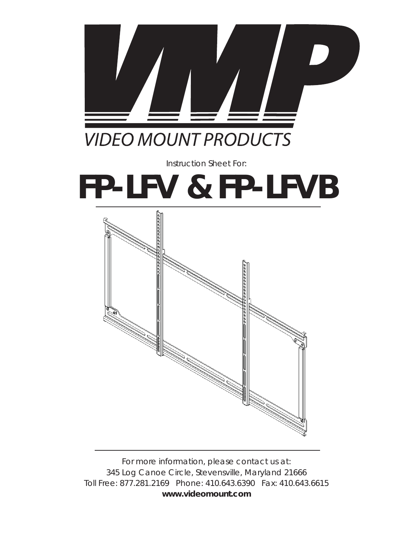

## **VIDEO MOUNT PRODUCTS**

*Instruction Sheet For:*

# **FP-LFV & FP-LFVB**



*For more information, please contact us at: 345 Log Canoe Circle, Stevensville, Maryland 21666 Toll Free: 877.281.2169 Phone: 410.643.6390 Fax: 410.643.6615* **www.videomount.com**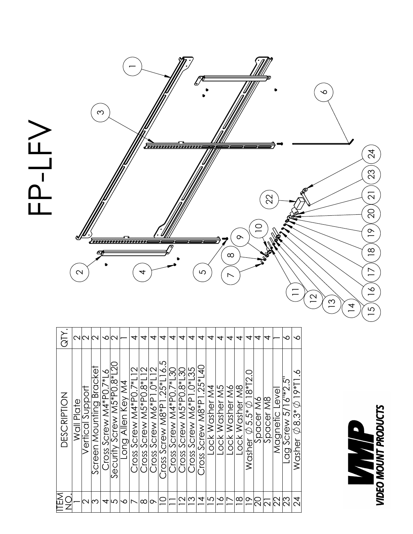

| QTY.                                             |            | NNM              |                         | ∾                                        |                          |                   | 4                          | 4                       | 4                          | 4                                 | 4                         | 4                            | 4                         | ↴                                  | 丼              | 4              | 丼              | ↴              | 4                                             | 4         | 4         |               | ∾                    | ∼                                                                                                                               |
|--------------------------------------------------|------------|------------------|-------------------------|------------------------------------------|--------------------------|-------------------|----------------------------|-------------------------|----------------------------|-----------------------------------|---------------------------|------------------------------|---------------------------|------------------------------------|----------------|----------------|----------------|----------------|-----------------------------------------------|-----------|-----------|---------------|----------------------|---------------------------------------------------------------------------------------------------------------------------------|
| <b>DESCRIPTION</b>                               | Wall Plate | Vertical Support | Screen Mounting Bracket | $\mathcal{L}$<br>$Cross$ Screw M4*P0.7*1 | Security Screw M5*P0.8*I | Long Allen Key M4 | $C$ ross Screw M4*P0.7*L12 | Cross Screw M5*P0.8*L12 | $C$ ross Screw M6*P1.0*L12 | 5<br>Cross Screw $M8*P1.25*L16$ . | $Cross$ Screw M4*P0.7*L30 | ကို<br>Cross Screw M5*P0.8*L | $Cross$ Screw M6*P1.0*L35 | d<br>d<br>$Cross$ Screw M8*P1.25*1 | Lock Washer M4 | Lock Washer M5 | Lock Washer M6 | Lock Washer M8 | Washer $\varnothing$ 5.5* $\varnothing$ 18*T2 | Spacer M6 | Spacer M8 | Magnetic Leve | Lag Screw 5/16"*2.5" | Š.<br>Washer $\varnothing$ 8.3* $\varnothing$ 19*T1                                                                             |
| <b>ITEM</b><br>$\frac{{\mathsf C}}{{\mathsf Z}}$ |            | N                | ന                       | 4                                        | Ю                        | ∾                 |                            | ∞                       | ᡐ                          | $\subseteq$                       |                           | $\mathbf{\Omega}$            | ∣ಌ                        | 4                                  | 5              | ∽              |                | $\infty$       | $\stackrel{\circ}{=}$                         |           |           |               | 23                   | $\mathcal{A}% _{T}=\mathcal{A}_{T}\!\left( a,b\right) ,\ \mathcal{A}_{T}=\mathcal{A}_{T}\!\left( a,b\right) , \label{eq:2.15}%$ |